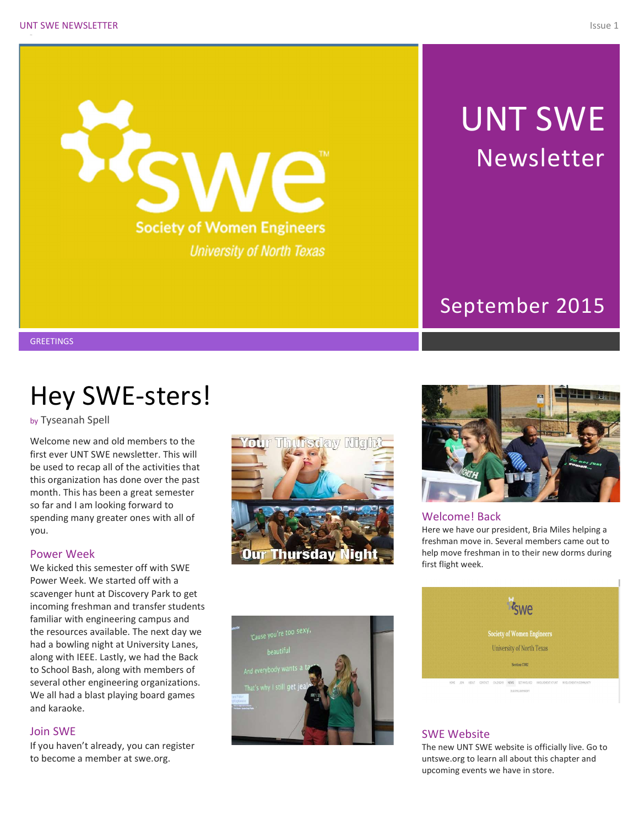

# UNT SWE Newsletter

### September 2015

**GREETINGS** 

## Hey SWE-sters!

by Tyseanah Spell

Welcome new and old members to the first ever UNT SWE newsletter. This will be used to recap all of the activities that this organization has done over the past month. This has been a great semester so far and I am looking forward to spending many greater ones with all of you.

#### Power Week

We kicked this semester off with SWE Power Week. We started off with a scavenger hunt at Discovery Park to get incoming freshman and transfer students familiar with engineering campus and the resources available. The next day we had a bowling night at University Lanes, along with IEEE. Lastly, we had the Back to School Bash, along with members of several other engineering organizations. We all had a blast playing board games and karaoke.

#### Join SWE

If you haven't already, you can register to become a member at swe.org.







#### Welcome! Back

Here we have our president, Bria Miles helping a freshman move in. Several members came out to help move freshman in to their new dorms during first flight week.



#### SWE Website

The new UNT SWE website is officially live. Go to untswe.org to learn all about this chapter and upcoming events we have in store.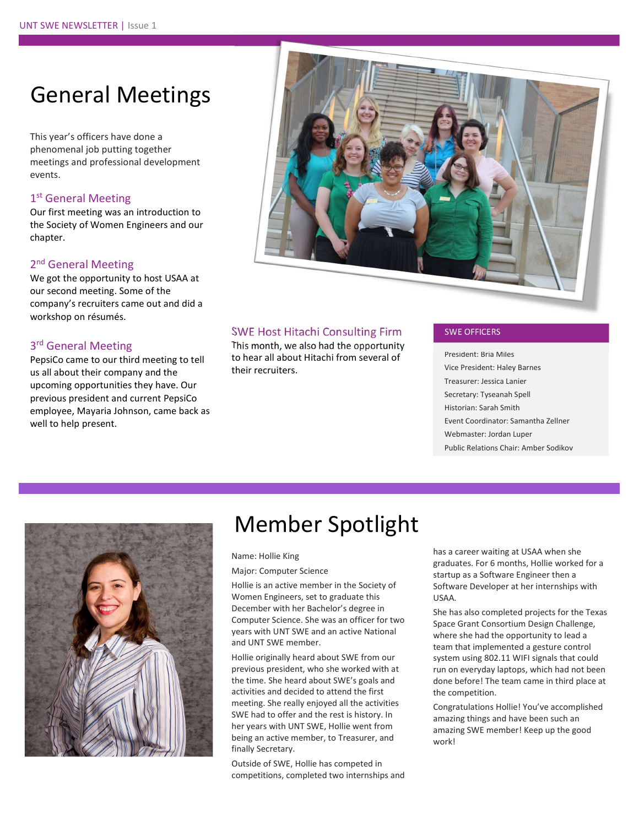### General Meetings

This year's officers have done a phenomenal job putting together meetings and professional development events.

#### 1<sup>st</sup> General Meeting

Our first meeting was an introduction to the Society of Women Engineers and our chapter.

#### 2<sup>nd</sup> General Meeting

We got the opportunity to host USAA at our second meeting. Some of the company's recruiters came out and did a workshop on résumés.

#### 3<sup>rd</sup> General Meeting

PepsiCo came to our third meeting to tell us all about their company and the upcoming opportunities they have. Our previous president and current PepsiCo employee, Mayaria Johnson, came back as well to help present.



#### SWE Host Hitachi Consulting Firm

This month, we also had the opportunity to hear all about Hitachi from several of their recruiters.

#### SWE OFFICERS

President: Bria Miles Vice President: Haley Barnes Treasurer: Jessica Lanier Secretary: Tyseanah Spell Historian: Sarah Smith Event Coordinator: Samantha Zellner Webmaster: Jordan Luper Public Relations Chair: Amber Sodikov



### Member Spotlight

#### Name: Hollie King

#### Major: Computer Science

Hollie is an active member in the Society of Women Engineers, set to graduate this December with her Bachelor's degree in Computer Science. She was an officer for two years with UNT SWE and an active National and UNT SWE member.

Hollie originally heard about SWE from our previous president, who she worked with at the time. She heard about SWE's goals and activities and decided to attend the first meeting. She really enjoyed all the activities SWE had to offer and the rest is history. In her years with UNT SWE, Hollie went from being an active member, to Treasurer, and finally Secretary.

Outside of SWE, Hollie has competed in competitions, completed two internships and has a career waiting at USAA when she graduates. For 6 months, Hollie worked for a startup as a Software Engineer then a Software Developer at her internships with USAA.

She has also completed projects for the Texas Space Grant Consortium Design Challenge, where she had the opportunity to lead a team that implemented a gesture control system using 802.11 WIFI signals that could run on everyday laptops, which had not been done before! The team came in third place at the competition.

Congratulations Hollie! You've accomplished amazing things and have been such an amazing SWE member! Keep up the good work!